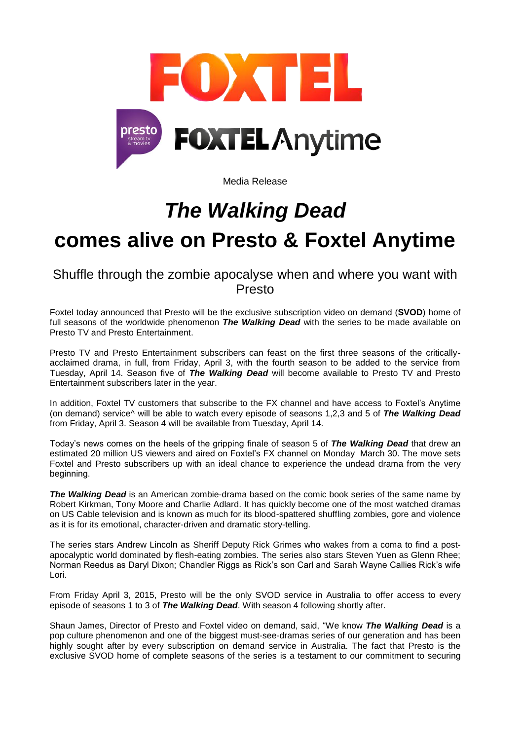

Media Release

## *The Walking Dead*

# **comes alive on Presto & Foxtel Anytime**

Shuffle through the zombie apocalyse when and where you want with Presto

Foxtel today announced that Presto will be the exclusive subscription video on demand (**SVOD**) home of full seasons of the worldwide phenomenon *The Walking Dead* with the series to be made available on Presto TV and Presto Entertainment.

Presto TV and Presto Entertainment subscribers can feast on the first three seasons of the criticallyacclaimed drama, in full, from Friday, April 3, with the fourth season to be added to the service from Tuesday, April 14. Season five of *The Walking Dead* will become available to Presto TV and Presto Entertainment subscribers later in the year.

In addition, Foxtel TV customers that subscribe to the FX channel and have access to Foxtel's Anytime (on demand) service^ will be able to watch every episode of seasons 1,2,3 and 5 of *The Walking Dead* from Friday, April 3. Season 4 will be available from Tuesday, April 14.

Today"s news comes on the heels of the gripping finale of season 5 of *The Walking Dead* that drew an estimated 20 million US viewers and aired on Foxtel"s FX channel on Monday March 30. The move sets Foxtel and Presto subscribers up with an ideal chance to experience the undead drama from the very beginning.

*The Walking Dead* is an American zombie-drama based on the comic book series of the same name by Robert Kirkman, Tony Moore and Charlie Adlard. It has quickly become one of the most watched dramas on US Cable television and is known as much for its blood-spattered shuffling zombies, gore and violence as it is for its emotional, character-driven and dramatic story-telling.

The series stars Andrew Lincoln as Sheriff Deputy Rick Grimes who wakes from a coma to find a postapocalyptic world dominated by flesh-eating zombies. The series also stars Steven Yuen as Glenn Rhee; Norman Reedus as Daryl Dixon; Chandler Riggs as Rick"s son Carl and Sarah Wayne Callies Rick"s wife Lori.

From Friday April 3, 2015, Presto will be the only SVOD service in Australia to offer access to every episode of seasons 1 to 3 of *The Walking Dead*. With season 4 following shortly after.

Shaun James, Director of Presto and Foxtel video on demand, said, "We know *The Walking Dead* is a pop culture phenomenon and one of the biggest must-see-dramas series of our generation and has been highly sought after by every subscription on demand service in Australia. The fact that Presto is the exclusive SVOD home of complete seasons of the series is a testament to our commitment to securing